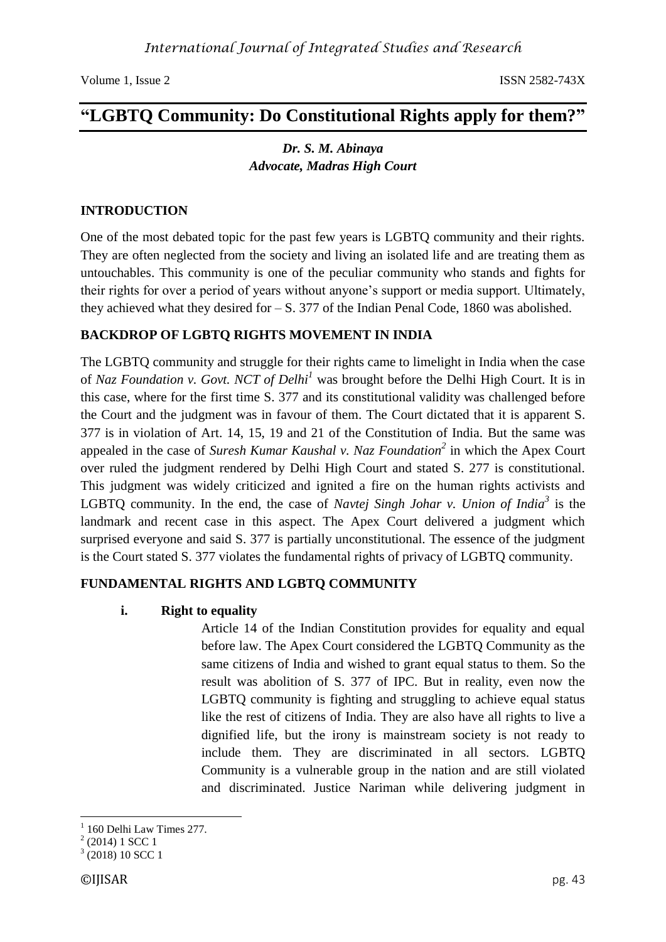# **"LGBTQ Community: Do Constitutional Rights apply for them?"**

## *Dr. S. M. Abinaya Advocate, Madras High Court*

#### **INTRODUCTION**

One of the most debated topic for the past few years is LGBTQ community and their rights. They are often neglected from the society and living an isolated life and are treating them as untouchables. This community is one of the peculiar community who stands and fights for their rights for over a period of years without anyone's support or media support. Ultimately, they achieved what they desired for  $- S. 377$  of the Indian Penal Code, 1860 was abolished.

#### **BACKDROP OF LGBTQ RIGHTS MOVEMENT IN INDIA**

The LGBTQ community and struggle for their rights came to limelight in India when the case of *Naz Foundation v. Govt. NCT of Delhi<sup>1</sup>* was brought before the Delhi High Court. It is in this case, where for the first time S. 377 and its constitutional validity was challenged before the Court and the judgment was in favour of them. The Court dictated that it is apparent S. 377 is in violation of Art. 14, 15, 19 and 21 of the Constitution of India. But the same was appealed in the case of *Suresh Kumar Kaushal v. Naz Foundation<sup>2</sup>* in which the Apex Court over ruled the judgment rendered by Delhi High Court and stated S. 277 is constitutional. This judgment was widely criticized and ignited a fire on the human rights activists and LGBTQ community. In the end, the case of *Navtej Singh Johar v. Union of India<sup>3</sup>* is the landmark and recent case in this aspect. The Apex Court delivered a judgment which surprised everyone and said S. 377 is partially unconstitutional. The essence of the judgment is the Court stated S. 377 violates the fundamental rights of privacy of LGBTQ community.

#### **FUNDAMENTAL RIGHTS AND LGBTQ COMMUNITY**

#### **i. Right to equality**

Article 14 of the Indian Constitution provides for equality and equal before law. The Apex Court considered the LGBTQ Community as the same citizens of India and wished to grant equal status to them. So the result was abolition of S. 377 of IPC. But in reality, even now the LGBTQ community is fighting and struggling to achieve equal status like the rest of citizens of India. They are also have all rights to live a dignified life, but the irony is mainstream society is not ready to include them. They are discriminated in all sectors. LGBTQ Community is a vulnerable group in the nation and are still violated and discriminated. Justice Nariman while delivering judgment in

<sup>1</sup> <sup>1</sup> 160 Delhi Law Times 277.

 $2(2014)$  1 SCC 1

 $3(2018) 10$  SCC 1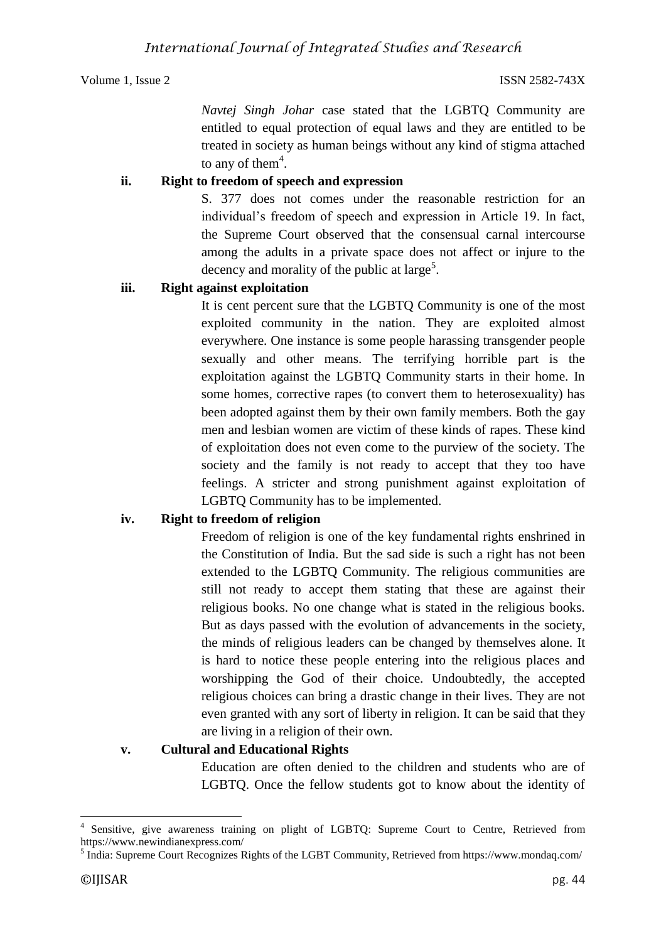*Navtej Singh Johar* case stated that the LGBTQ Community are entitled to equal protection of equal laws and they are entitled to be treated in society as human beings without any kind of stigma attached to any of them<sup>4</sup>.

#### **ii. Right to freedom of speech and expression**

S. 377 does not comes under the reasonable restriction for an individual's freedom of speech and expression in Article 19. In fact, the Supreme Court observed that the consensual carnal intercourse among the adults in a private space does not affect or injure to the decency and morality of the public at large<sup>5</sup>.

#### **iii. Right against exploitation**

It is cent percent sure that the LGBTQ Community is one of the most exploited community in the nation. They are exploited almost everywhere. One instance is some people harassing transgender people sexually and other means. The terrifying horrible part is the exploitation against the LGBTQ Community starts in their home. In some homes, corrective rapes (to convert them to heterosexuality) has been adopted against them by their own family members. Both the gay men and lesbian women are victim of these kinds of rapes. These kind of exploitation does not even come to the purview of the society. The society and the family is not ready to accept that they too have feelings. A stricter and strong punishment against exploitation of LGBTQ Community has to be implemented.

### **iv. Right to freedom of religion**

Freedom of religion is one of the key fundamental rights enshrined in the Constitution of India. But the sad side is such a right has not been extended to the LGBTQ Community. The religious communities are still not ready to accept them stating that these are against their religious books. No one change what is stated in the religious books. But as days passed with the evolution of advancements in the society, the minds of religious leaders can be changed by themselves alone. It is hard to notice these people entering into the religious places and worshipping the God of their choice. Undoubtedly, the accepted religious choices can bring a drastic change in their lives. They are not even granted with any sort of liberty in religion. It can be said that they are living in a religion of their own.

### **v. Cultural and Educational Rights**

Education are often denied to the children and students who are of LGBTQ. Once the fellow students got to know about the identity of

1

<sup>4</sup> Sensitive, give awareness training on plight of LGBTQ: Supreme Court to Centre, Retrieved from https://www.newindianexpress.com/

<sup>&</sup>lt;sup>5</sup> India: Supreme Court Recognizes Rights of the LGBT Community, Retrieved from https://www.mondaq.com/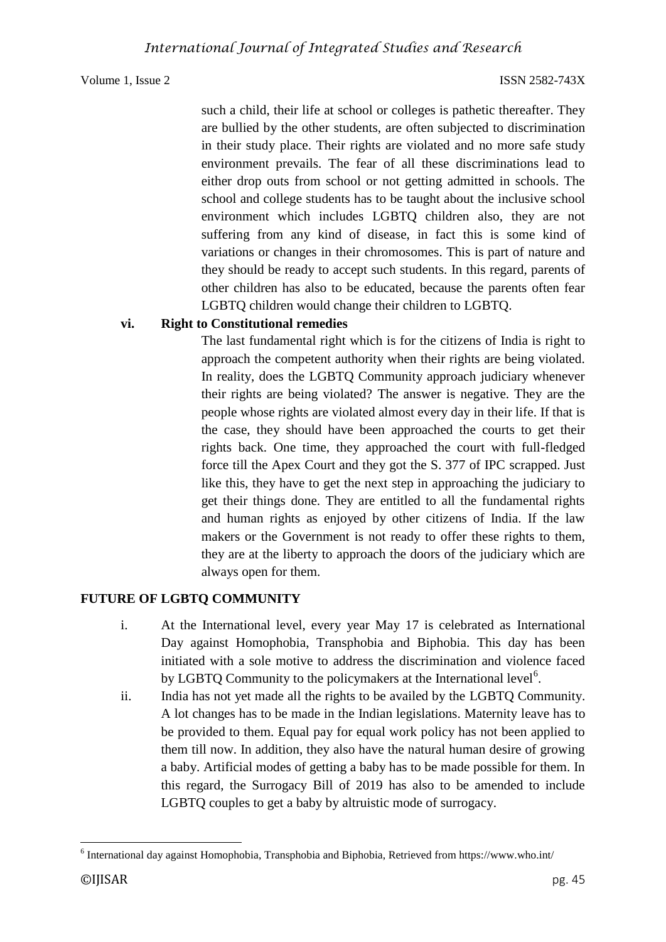such a child, their life at school or colleges is pathetic thereafter. They are bullied by the other students, are often subjected to discrimination in their study place. Their rights are violated and no more safe study environment prevails. The fear of all these discriminations lead to either drop outs from school or not getting admitted in schools. The school and college students has to be taught about the inclusive school environment which includes LGBTQ children also, they are not suffering from any kind of disease, in fact this is some kind of variations or changes in their chromosomes. This is part of nature and they should be ready to accept such students. In this regard, parents of other children has also to be educated, because the parents often fear LGBTQ children would change their children to LGBTQ.

#### **vi. Right to Constitutional remedies**

The last fundamental right which is for the citizens of India is right to approach the competent authority when their rights are being violated. In reality, does the LGBTQ Community approach judiciary whenever their rights are being violated? The answer is negative. They are the people whose rights are violated almost every day in their life. If that is the case, they should have been approached the courts to get their rights back. One time, they approached the court with full-fledged force till the Apex Court and they got the S. 377 of IPC scrapped. Just like this, they have to get the next step in approaching the judiciary to get their things done. They are entitled to all the fundamental rights and human rights as enjoyed by other citizens of India. If the law makers or the Government is not ready to offer these rights to them, they are at the liberty to approach the doors of the judiciary which are always open for them.

#### **FUTURE OF LGBTQ COMMUNITY**

- i. At the International level, every year May 17 is celebrated as International Day against Homophobia, Transphobia and Biphobia. This day has been initiated with a sole motive to address the discrimination and violence faced by LGBTQ Community to the policymakers at the International level<sup>6</sup>.
- ii. India has not yet made all the rights to be availed by the LGBTQ Community. A lot changes has to be made in the Indian legislations. Maternity leave has to be provided to them. Equal pay for equal work policy has not been applied to them till now. In addition, they also have the natural human desire of growing a baby. Artificial modes of getting a baby has to be made possible for them. In this regard, the Surrogacy Bill of 2019 has also to be amended to include LGBTQ couples to get a baby by altruistic mode of surrogacy.

**<sup>.</sup>**  $6$  International day against Homophobia, Transphobia and Biphobia, Retrieved from https://www.who.int/